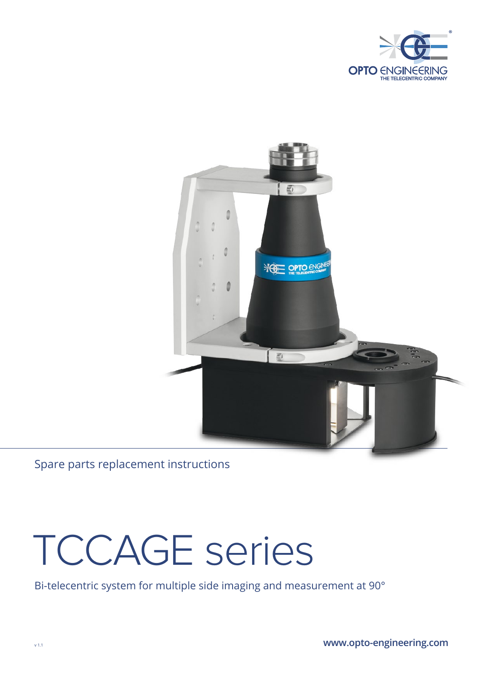



Spare parts replacement instructions

# TCCAGE series

Bi-telecentric system for multiple side imaging and measurement at 90°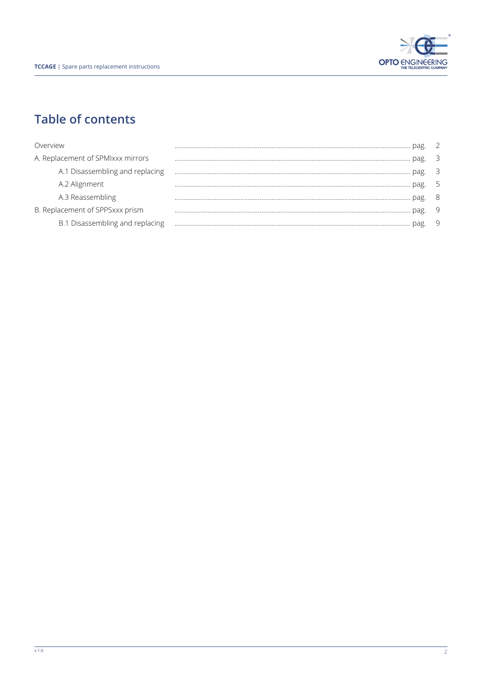

## **Table of contents**

| Overview                          |   |
|-----------------------------------|---|
| A. Replacement of SPMIxxx mirrors |   |
| A.1 Disassembling and replacing   |   |
| A.2 Alignment                     |   |
| A.3 Reassembling                  |   |
| B. Replacement of SPPSxxx prism   | 9 |
| B.1 Disassembling and replacing   |   |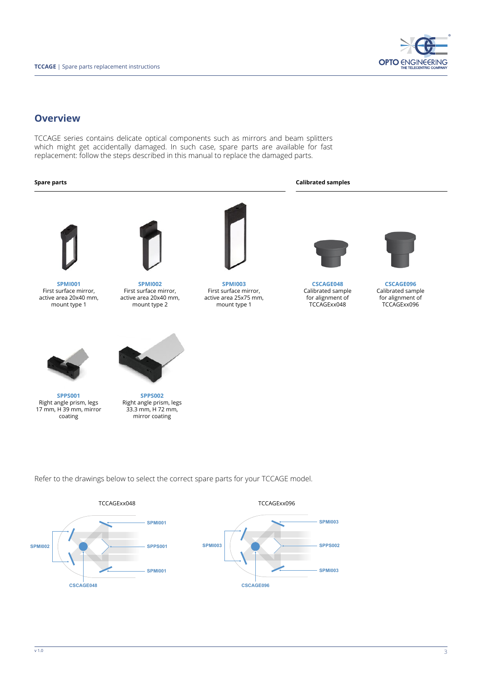

#### **Overview**

TCCAGE series contains delicate optical components such as mirrors and beam splitters which might get accidentally damaged. In such case, spare parts are available for fast replacement: follow the steps described in this manual to replace the damaged parts.

#### **Spare parts Calibrated samples**



**SPMI001** First surface mirror, active area 20x40 mm, mount type 1



**SPMI002** First surface mirror, active area 20x40 mm, mount type 2



**SPMI003** First surface mirror, active area 25x75 mm, mount type 1



**CSCAGE048** Calibrated sample for alignment of TCCAGExx048

**SPMI003**

**SPMI003**



**CSCAGE096** Calibrated sample for alignment of TCCAGExx096



**SPPS001** Right angle prism, legs 17 mm, H 39 mm, mirror coating



**SPPS002** Right angle prism, legs 33.3 mm, H 72 mm, mirror coating

Refer to the drawings below to select the correct spare parts for your TCCAGE model.

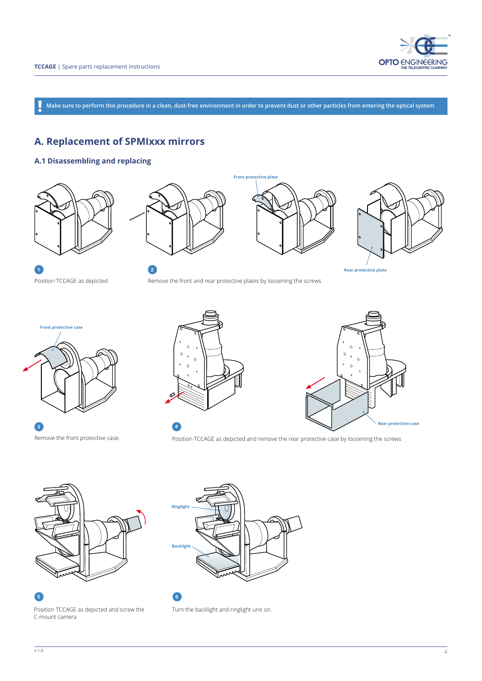

**Make sure to perform this procedure in a clean, dust-free environment in order to prevent dust or other particles from entering the optical system !**

**Front protective plate**

## **A. Replacement of SPMIxxx mirrors**

#### **A.1 Disassembling and replacing**















**Front protective case**

Remove the front protective case. **3**

Position TCCAGE as depicted and remove the rear protective case by loosening the screws



Position TCCAGE as depicted and screw the C-mount camera





**4**

 $\overline{c}$ 

 $\circ$ 

Turn the backlight and ringlight unit on.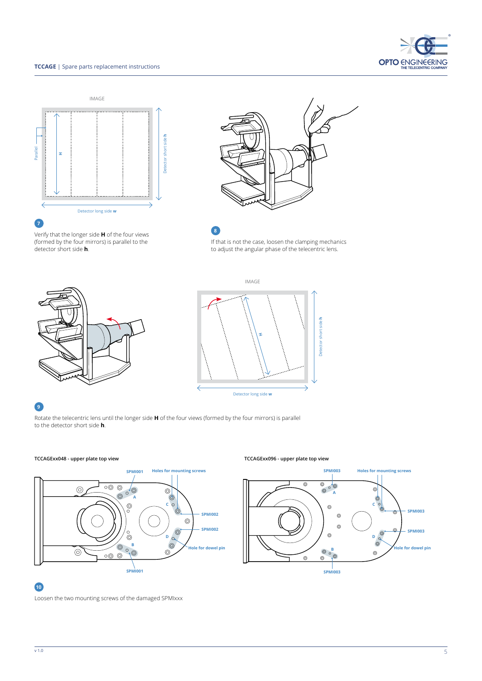#### **TCCAGE** | Spare parts replacement instructions







Verify that the longer side **H** of the four views (formed by the four mirrors) is parallel to the detector short side **h**.

If that is not the case, loosen the clamping mechanics to adjust the angular phase of the telecentric lens. **8**





#### **9**

Rotate the telecentric lens until the longer side **H** of the four views (formed by the four mirrors) is parallel to the detector short side **h**.



#### **TCCAGExx048 - upper plate top view TCCAGExx096 - upper plate top view**

## **10**

Loosen the two mounting screws of the damaged SPMIxxx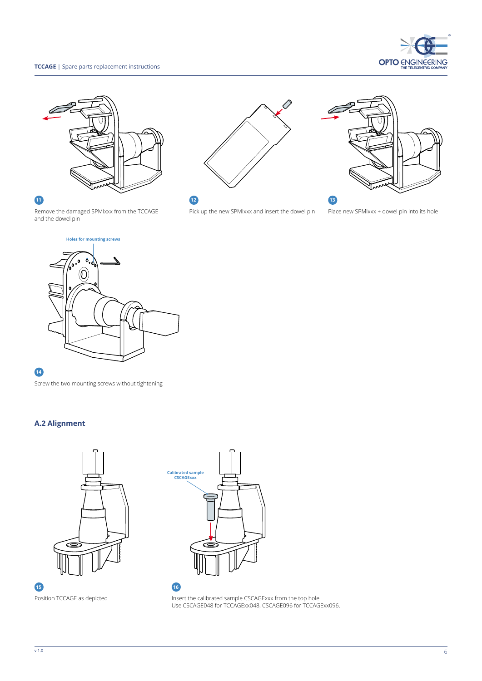#### **TCCAGE** | Spare parts replacement instructions













Pick up the new SPMIxxx and insert the dowel pin Place new SPMIxxx + dowel pin into its hole

Remove the damaged SPMIxxx from the TCCAGE and the dowel pin



#### **14**

Screw the two mounting screws without tightening

#### **A.2 Alignment**



**Calibrated sample CSCAGExxx**

Position TCCAGE as depicted **Insert the calibrated sample CSCAGExxx** from the top hole. Use CSCAGE048 for TCCAGExx048, CSCAGE096 for TCCAGExx096.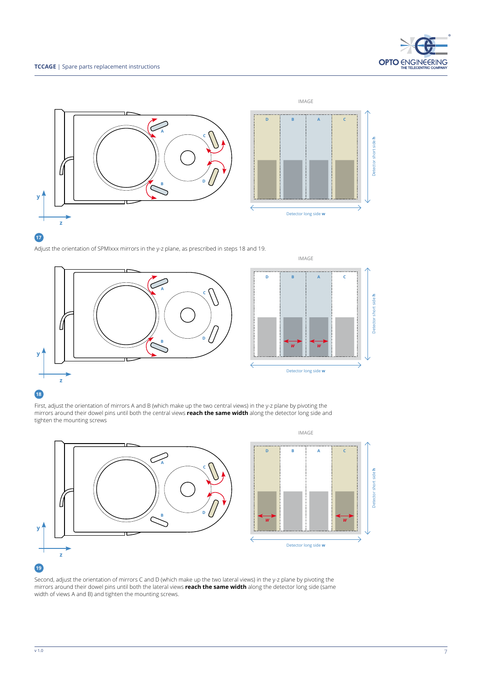

Adjust the orientation of SPMIxxx mirrors in the y-z plane, as prescribed in steps 18 and 19.



#### **18**

First, adjust the orientation of mirrors A and B (which make up the two central views) in the y-z plane by pivoting the mirrors around their dowel pins until both the central views **reach the same width** along the detector long side and tighten the mounting screws



#### Second, adjust the orientation of mirrors C and D (which make up the two lateral views) in the y-z plane by pivoting the mirrors around their dowel pins until both the lateral views **reach the same width** along the detector long side (same width of views A and B) and tighten the mounting screws.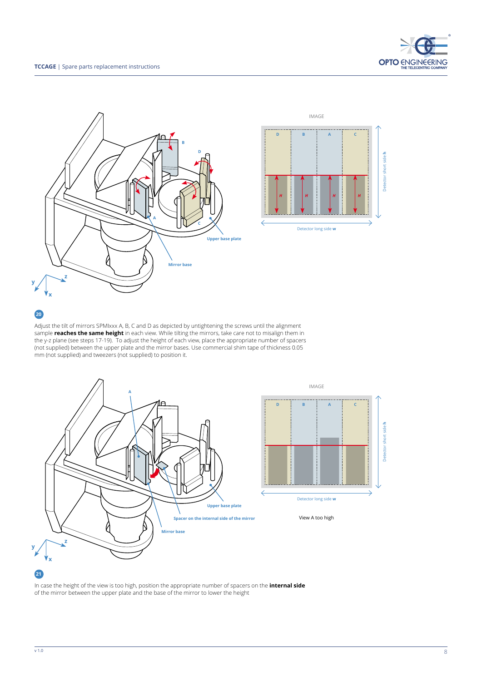





Adjust the tilt of mirrors SPMIxxx A, B, C and D as depicted by untightening the screws until the alignment sample **reaches the same height** in each view. While tilting the mirrors, take care not to misalign them in the y-z plane (see steps 17-19). To adjust the height of each view, place the appropriate number of spacers (not supplied) between the upper plate and the mirror bases. Use commercial shim tape of thickness 0.05 mm (not supplied) and tweezers (not supplied) to position it.



In case the height of the view is too high, position the appropriate number of spacers on the **internal side** of the mirror between the upper plate and the base of the mirror to lower the height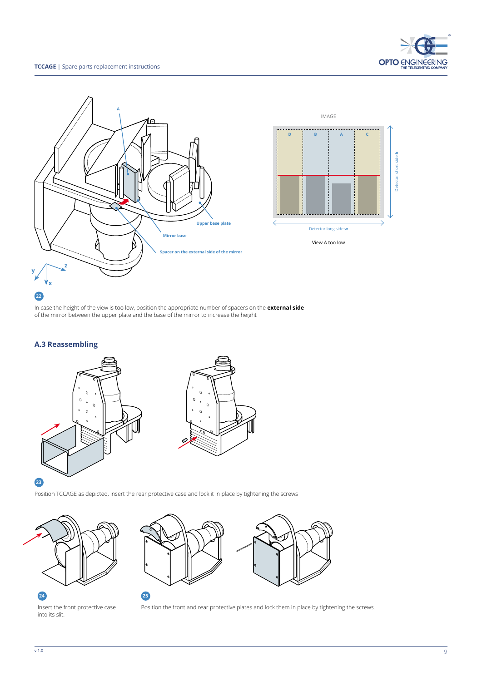



In case the height of the view is too low, position the appropriate number of spacers on the **external side** of the mirror between the upper plate and the base of the mirror to increase the height

#### **A.3 Reassembling**



Position TCCAGE as depicted, insert the rear protective case and lock it in place by tightening the screws







Insert the front protective case into its slit.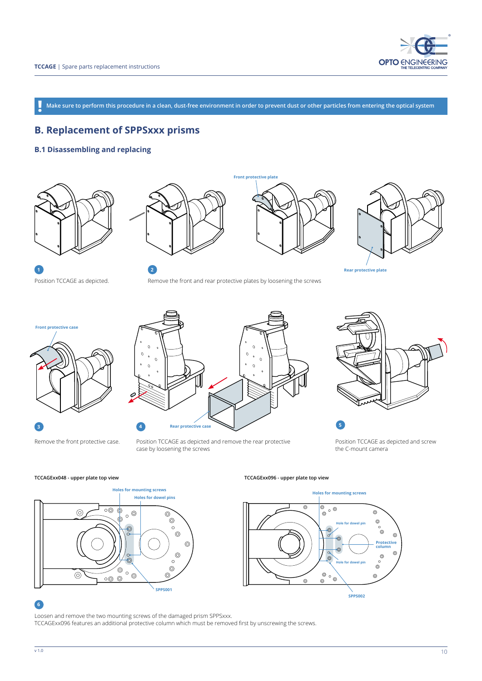

**Make sure to perform this procedure in a clean, dust-free environment in order to prevent dust or other particles from entering the optical system !**

## **B. Replacement of SPPSxxx prisms**

#### **B.1 Disassembling and replacing**









**Rear protective plate**

**Front protective case**



Position TCCAGE as depicted and remove the rear protective

case by loosening the screws

**Rear protective case**



Position TCCAGE as depicted and screw the C-mount camera

Remove the front protective case.

**3 4**



**TCCAGExx048 - upper plate top view TCCAGExx096 - upper plate top view**



#### **6**

Loosen and remove the two mounting screws of the damaged prism SPPSxxx. TCCAGExx096 features an additional protective column which must be removed first by unscrewing the screws.

 $\frac{10}{10}$  v 1.0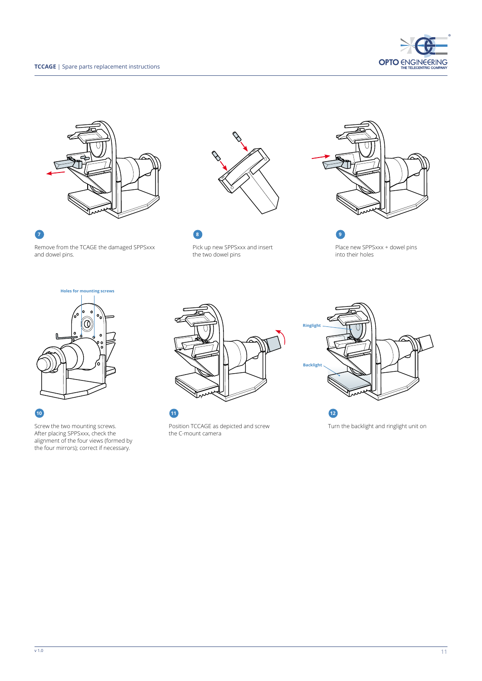



Remove from the TCAGE the damaged SPPSxxx and dowel pins.



Pick up new SPPSxxx and insert the two dowel pins

**7 8 9**



Place new SPPSxxx + dowel pins into their holes



#### **10**

Screw the two mounting screws. After placing SPPSxxx, check the alignment of the four views (formed by the four mirrors); correct if necessary.



Position TCCAGE as depicted and screw the C-mount camera



Turn the backlight and ringlight unit on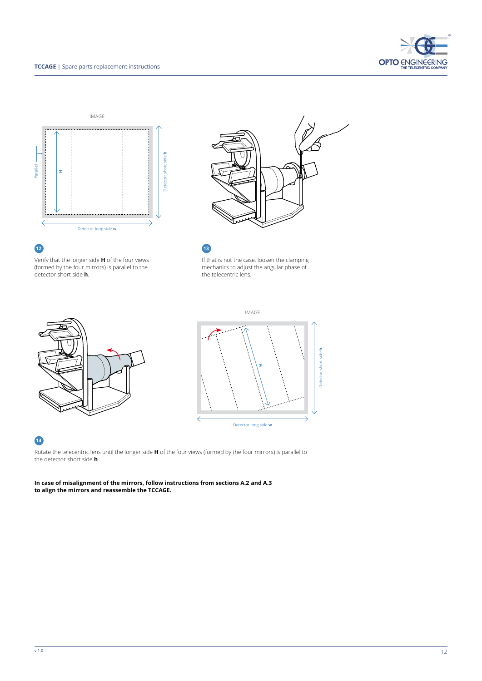





Verify that the longer side **H** of the four views (formed by the four mirrors) is parallel to the detector short side **h**.



If that is not the case, loosen the clamping mechanics to adjust the angular phase of the telecentric lens.

IMAGE





## **14**

Rotate the telecentric lens until the longer side **H** of the four views (formed by the four mirrors) is parallel to the detector short side **h**.

**In case of misalignment of the mirrors, follow instructions from sections A.2 and A.3 to align the mirrors and reassemble the TCCAGE.**